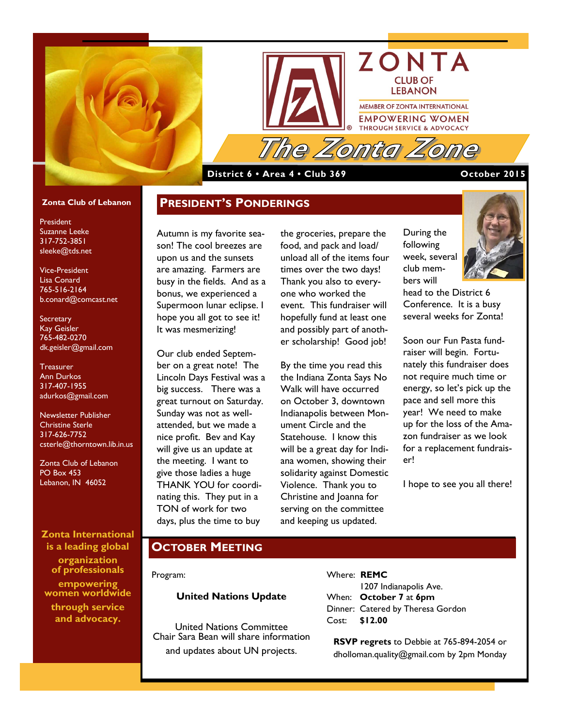



#### **District 6 • Area 4 • Club 369 October 2015**

#### **Zonta Club of Lebanon**

President Suzanne Leeke 317-752-3851 sleeke@tds.net

Vice-President Lisa Conard 765-516-2164 b.conard@comcast.net

**Secretary** Kay Geisler 765-482-0270 dk.geisler@gmail.com

**Treasurer** Ann Durkos 317-407-1955 adurkos@gmail.com

Newsletter Publisher Christine Sterle 317-626-7752 csterle@thorntown.lib.in.us

Zonta Club of Lebanon PO Box 453 Lebanon, IN 46052

**Zonta International is a leading global organization of professionals empowering women worldwide through service and advocacy.**

Autumn is my favorite season! The cool breezes are upon us and the sunsets are amazing. Farmers are busy in the fields. And as a bonus, we experienced a Supermoon lunar eclipse. I hope you all got to see it! It was mesmerizing!

**PRESIDENT'S PONDERINGS**

Our club ended September on a great note! The Lincoln Days Festival was a big success. There was a great turnout on Saturday. Sunday was not as wellattended, but we made a nice profit. Bev and Kay will give us an update at the meeting. I want to give those ladies a huge THANK YOU for coordinating this. They put in a TON of work for two days, plus the time to buy

the groceries, prepare the food, and pack and load/ unload all of the items four times over the two days! Thank you also to everyone who worked the event. This fundraiser will hopefully fund at least one and possibly part of another scholarship! Good job!

By the time you read this the Indiana Zonta Says No Walk will have occurred on October 3, downtown Indianapolis between Monument Circle and the Statehouse. I know this will be a great day for Indiana women, showing their solidarity against Domestic Violence. Thank you to Christine and Joanna for serving on the committee and keeping us updated.

During the following week, several club mem-



Soon our Fun Pasta fundraiser will begin. Fortunately this fundraiser does not require much time or energy, so let's pick up the pace and sell more this year! We need to make up for the loss of the Amazon fundraiser as we look for a replacement fundraiser!

I hope to see you all there!

#### **OCTOBER MEETING**

Program:

#### **United Nations Update**

United Nations Committee Chair Sara Bean will share information and updates about UN projects.

Where: **REMC** 1207 Indianapolis Ave.

When: **October 7** at **6pm** Dinner: Catered by Theresa Gordon Cost: **\$12.00** 

**RSVP regrets** to Debbie at 765-894-2054 or dholloman.quality@gmail.com by 2pm Monday